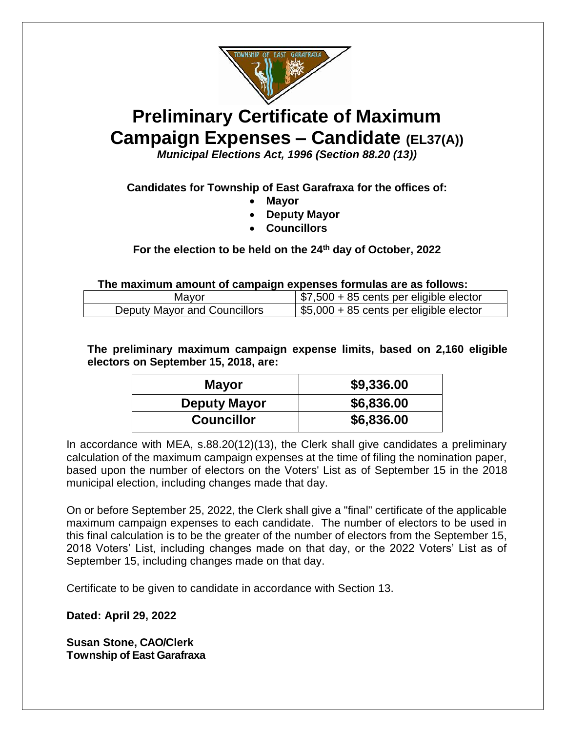

# **Preliminary Certificate of Maximum Campaign Expenses – Candidate (EL37(A))**

*Municipal Elections Act, 1996 (Section 88.20 (13))*

## **Candidates for Township of East Garafraxa for the offices of:**

- **Mayor**
- **Deputy Mayor**
- **Councillors**

#### **For the election to be held on the 24th day of October, 2022**

**The maximum amount of campaign expenses formulas are as follows:**

| Mayor                        | $\frac{1}{2}$ \$7,500 + 85 cents per eligible elector |
|------------------------------|-------------------------------------------------------|
| Deputy Mayor and Councillors | \$5,000 + 85 cents per eligible elector               |

**The preliminary maximum campaign expense limits, based on 2,160 eligible electors on September 15, 2018, are:**

| <b>Mayor</b>        | \$9,336.00 |
|---------------------|------------|
| <b>Deputy Mayor</b> | \$6,836.00 |
| <b>Councillor</b>   | \$6,836.00 |

In accordance with MEA, s.88.20(12)(13), the Clerk shall give candidates a preliminary calculation of the maximum campaign expenses at the time of filing the nomination paper, based upon the number of electors on the Voters' List as of September 15 in the 2018 municipal election, including changes made that day.

On or before September 25, 2022, the Clerk shall give a "final" certificate of the applicable maximum campaign expenses to each candidate. The number of electors to be used in this final calculation is to be the greater of the number of electors from the September 15, 2018 Voters' List, including changes made on that day, or the 2022 Voters' List as of September 15, including changes made on that day.

Certificate to be given to candidate in accordance with Section 13.

**Dated: April 29, 2022**

**Susan Stone, CAO/Clerk Township of East Garafraxa**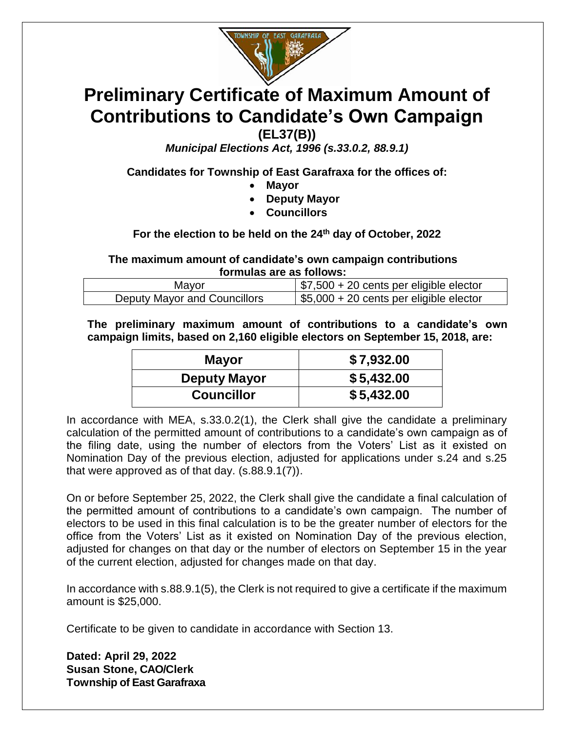

# **Preliminary Certificate of Maximum Amount of Contributions to Candidate's Own Campaign**

**(EL37(B))**

*Municipal Elections Act, 1996 (s.33.0.2, 88.9.1)*

**Candidates for Township of East Garafraxa for the offices of:**

- **Mayor**
- **Deputy Mayor**
- **Councillors**

**For the election to be held on the 24th day of October, 2022**

**The maximum amount of candidate's own campaign contributions formulas are as follows:**

| Mayor                        | $\frac{1}{2}$ \$7,500 + 20 cents per eligible elector |
|------------------------------|-------------------------------------------------------|
| Deputy Mayor and Councillors | $\frac{1}{2}$ \$5,000 + 20 cents per eligible elector |

**The preliminary maximum amount of contributions to a candidate's own campaign limits, based on 2,160 eligible electors on September 15, 2018, are:**

| <b>Mayor</b>        | \$7,932.00 |
|---------------------|------------|
| <b>Deputy Mayor</b> | \$5,432.00 |
| <b>Councillor</b>   | \$5,432.00 |

In accordance with MEA, s.33.0.2(1), the Clerk shall give the candidate a preliminary calculation of the permitted amount of contributions to a candidate's own campaign as of the filing date, using the number of electors from the Voters' List as it existed on Nomination Day of the previous election, adjusted for applications under s.24 and s.25 that were approved as of that day. (s.88.9.1(7)).

On or before September 25, 2022, the Clerk shall give the candidate a final calculation of the permitted amount of contributions to a candidate's own campaign. The number of electors to be used in this final calculation is to be the greater number of electors for the office from the Voters' List as it existed on Nomination Day of the previous election, adjusted for changes on that day or the number of electors on September 15 in the year of the current election, adjusted for changes made on that day.

In accordance with s.88.9.1(5), the Clerk is not required to give a certificate if the maximum amount is \$25,000.

Certificate to be given to candidate in accordance with Section 13.

**Dated: April 29, 2022 Susan Stone, CAO/Clerk Township of East Garafraxa**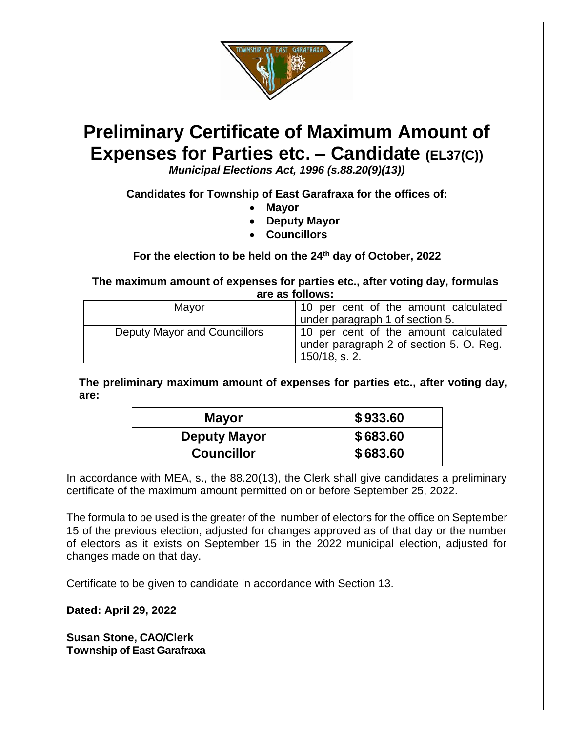

# **Preliminary Certificate of Maximum Amount of Expenses for Parties etc. – Candidate (EL37(C))**

*Municipal Elections Act, 1996 (s.88.20(9)(13))*

**Candidates for Township of East Garafraxa for the offices of:**

- **Mayor**
- **Deputy Mayor**
- **Councillors**

## **For the election to be held on the 24th day of October, 2022**

**The maximum amount of expenses for parties etc., after voting day, formulas are as follows:**

| Mayor                        | 10 per cent of the amount calculated                                                             |
|------------------------------|--------------------------------------------------------------------------------------------------|
|                              | under paragraph 1 of section 5.                                                                  |
| Deputy Mayor and Councillors | 10 per cent of the amount calculated<br>under paragraph 2 of section 5. O. Reg.<br>150/18, s. 2. |

**The preliminary maximum amount of expenses for parties etc., after voting day, are:**

| <b>Mayor</b>        | \$933.60 |
|---------------------|----------|
| <b>Deputy Mayor</b> | \$683.60 |
| <b>Councillor</b>   | \$683.60 |

In accordance with MEA, s., the 88.20(13), the Clerk shall give candidates a preliminary certificate of the maximum amount permitted on or before September 25, 2022.

The formula to be used is the greater of the number of electors for the office on September 15 of the previous election, adjusted for changes approved as of that day or the number of electors as it exists on September 15 in the 2022 municipal election, adjusted for changes made on that day.

Certificate to be given to candidate in accordance with Section 13.

**Dated: April 29, 2022**

**Susan Stone, CAO/Clerk Township of East Garafraxa**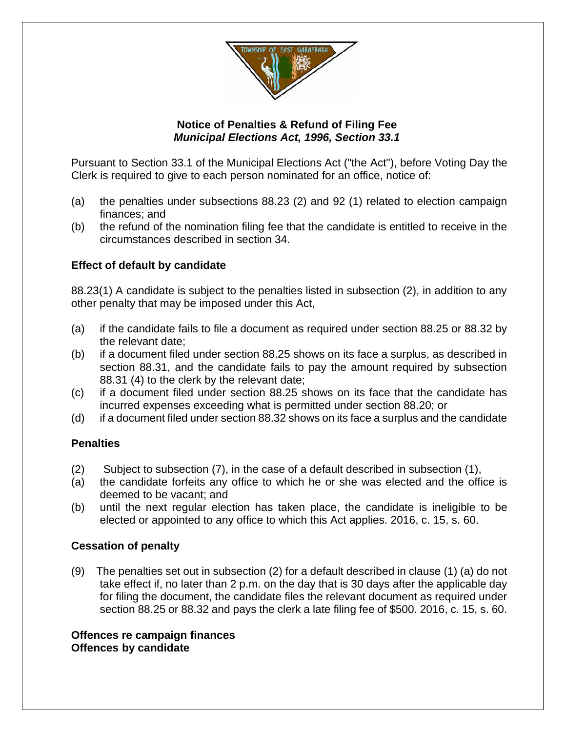

#### **Notice of Penalties & Refund of Filing Fee** *Municipal Elections Act, 1996, Section 33.1*

Pursuant to Section 33.1 of the Municipal Elections Act ("the Act"), before Voting Day the Clerk is required to give to each person nominated for an office, notice of:

- (a) the penalties under subsections 88.23 (2) and 92 (1) related to election campaign finances; and
- (b) the refund of the nomination filing fee that the candidate is entitled to receive in the circumstances described in section 34.

## **Effect of default by candidate**

88.23(1) A candidate is subject to the penalties listed in subsection (2), in addition to any other penalty that may be imposed under this Act,

- (a) if the candidate fails to file a document as required under section 88.25 or 88.32 by the relevant date;
- (b) if a document filed under section 88.25 shows on its face a surplus, as described in section 88.31, and the candidate fails to pay the amount required by subsection 88.31 (4) to the clerk by the relevant date;
- (c) if a document filed under section 88.25 shows on its face that the candidate has incurred expenses exceeding what is permitted under section 88.20; or
- (d) if a document filed under section 88.32 shows on its face a surplus and the candidate

#### **Penalties**

- (2) Subject to subsection (7), in the case of a default described in subsection (1),
- (a) the candidate forfeits any office to which he or she was elected and the office is deemed to be vacant; and
- (b) until the next regular election has taken place, the candidate is ineligible to be elected or appointed to any office to which this Act applies. 2016, c. 15, s. 60.

## **Cessation of penalty**

(9) The penalties set out in subsection (2) for a default described in clause (1) (a) do not take effect if, no later than 2 p.m. on the day that is 30 days after the applicable day for filing the document, the candidate files the relevant document as required under section 88.25 or 88.32 and pays the clerk a late filing fee of \$500. 2016, c. 15, s. 60.

#### **Offences re campaign finances Offences by candidate**